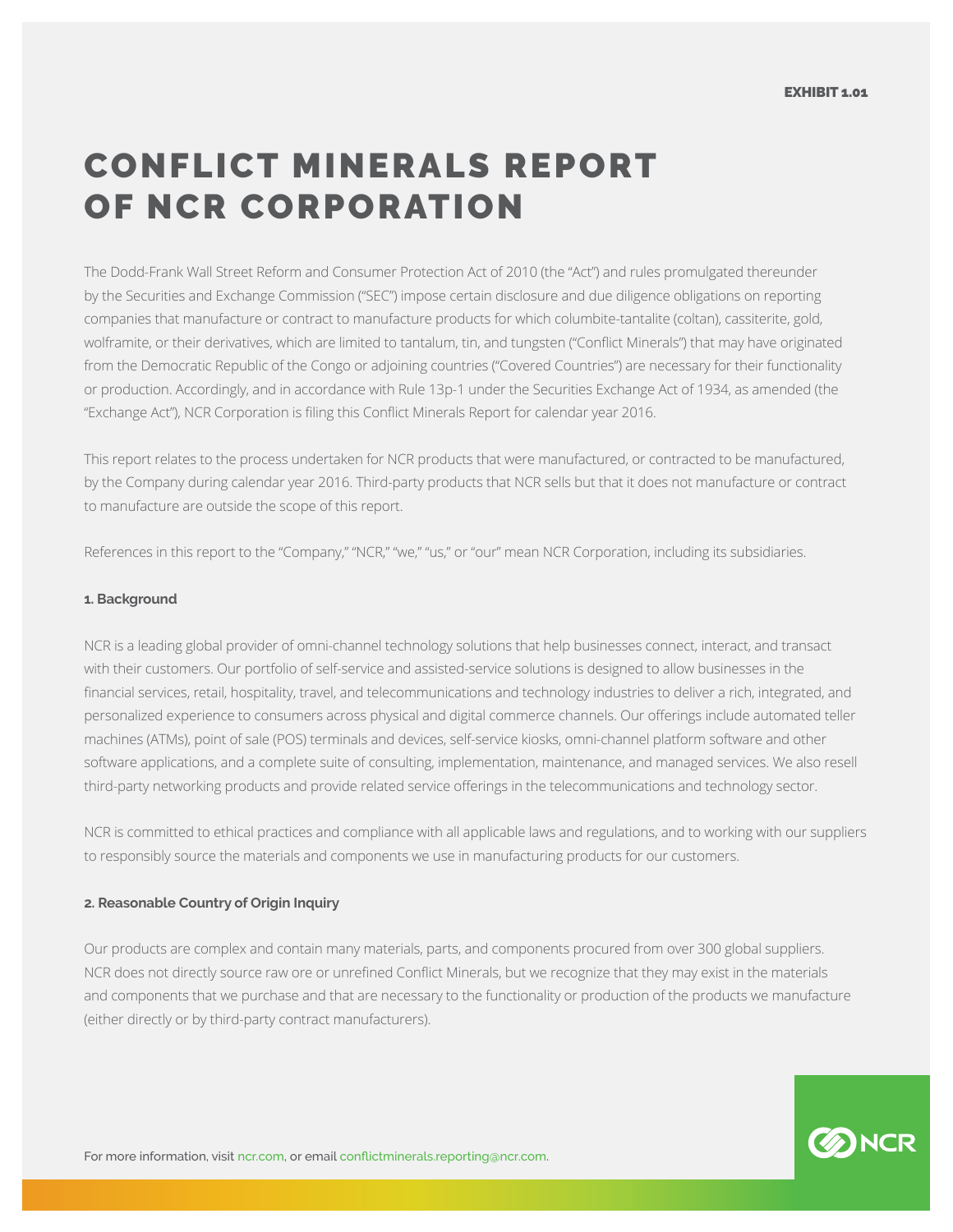## CONFLICT MINERALS REPORT OF NCR CORPORATION

The Dodd-Frank Wall Street Reform and Consumer Protection Act of 2010 (the "Act") and rules promulgated thereunder by the Securities and Exchange Commission ("SEC") impose certain disclosure and due diligence obligations on reporting companies that manufacture or contract to manufacture products for which columbite-tantalite (coltan), cassiterite, gold, wolframite, or their derivatives, which are limited to tantalum, tin, and tungsten ("Conflict Minerals") that may have originated from the Democratic Republic of the Congo or adjoining countries ("Covered Countries") are necessary for their functionality or production. Accordingly, and in accordance with Rule 13p-1 under the Securities Exchange Act of 1934, as amended (the "Exchange Act"), NCR Corporation is filing this Conflict Minerals Report for calendar year 2016.

This report relates to the process undertaken for NCR products that were manufactured, or contracted to be manufactured, by the Company during calendar year 2016. Third-party products that NCR sells but that it does not manufacture or contract to manufacture are outside the scope of this report.

References in this report to the "Company," "NCR," "we," "us," or "our" mean NCR Corporation, including its subsidiaries.

## **1. Background**

NCR is a leading global provider of omni-channel technology solutions that help businesses connect, interact, and transact with their customers. Our portfolio of self-service and assisted-service solutions is designed to allow businesses in the financial services, retail, hospitality, travel, and telecommunications and technology industries to deliver a rich, integrated, and personalized experience to consumers across physical and digital commerce channels. Our offerings include automated teller machines (ATMs), point of sale (POS) terminals and devices, self-service kiosks, omni-channel platform software and other software applications, and a complete suite of consulting, implementation, maintenance, and managed services. We also resell third-party networking products and provide related service offerings in the telecommunications and technology sector.

NCR is committed to ethical practices and compliance with all applicable laws and regulations, and to working with our suppliers to responsibly source the materials and components we use in manufacturing products for our customers.

## **2. Reasonable Country of Origin Inquiry**

Our products are complex and contain many materials, parts, and components procured from over 300 global suppliers. NCR does not directly source raw ore or unrefined Conflict Minerals, but we recognize that they may exist in the materials and components that we purchase and that are necessary to the functionality or production of the products we manufacture (either directly or by third-party contract manufacturers).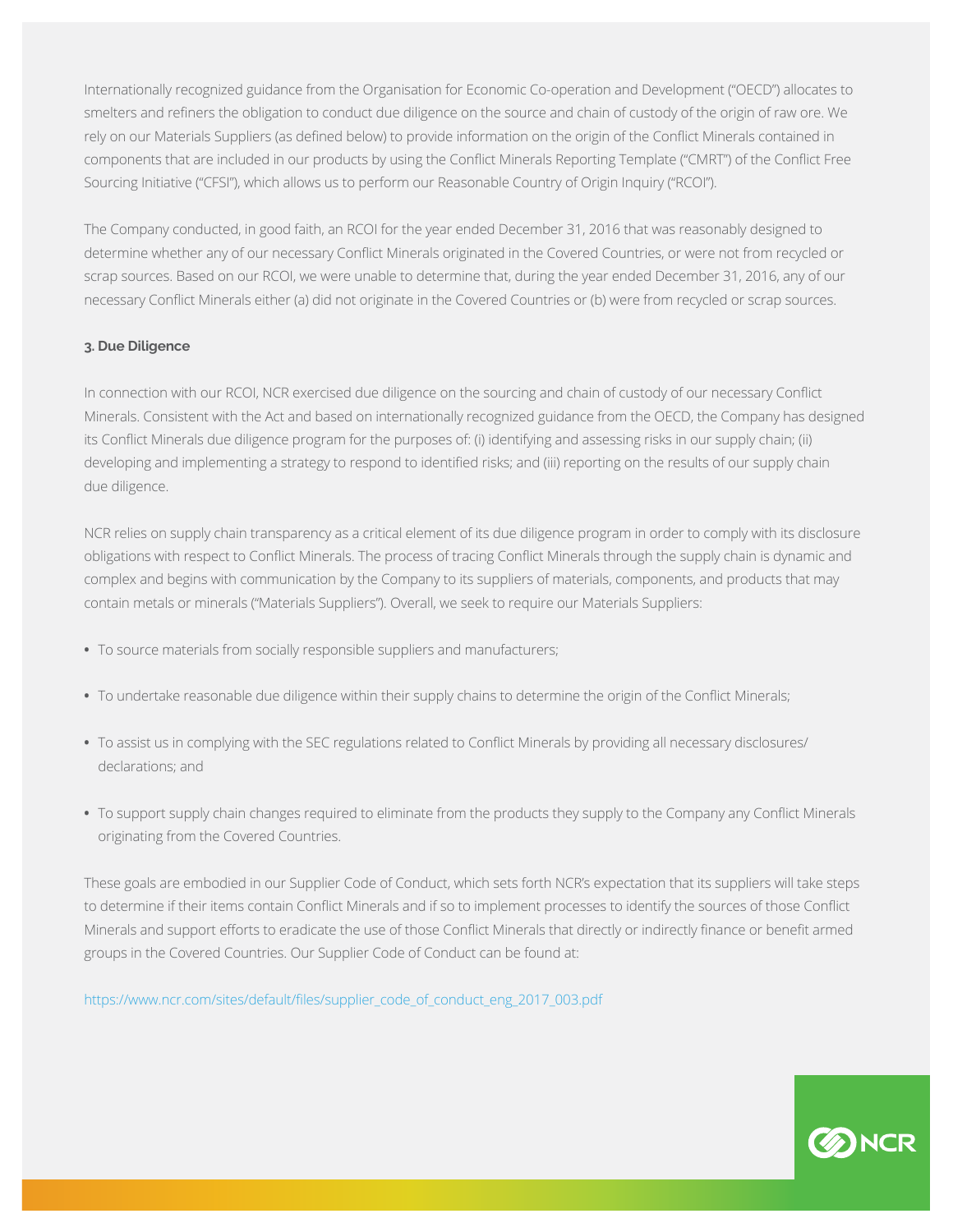Internationally recognized guidance from the Organisation for Economic Co-operation and Development ("OECD") allocates to smelters and refiners the obligation to conduct due diligence on the source and chain of custody of the origin of raw ore. We rely on our Materials Suppliers (as defined below) to provide information on the origin of the Conflict Minerals contained in components that are included in our products by using the Conflict Minerals Reporting Template ("CMRT") of the Conflict Free Sourcing Initiative ("CFSI"), which allows us to perform our Reasonable Country of Origin Inquiry ("RCOI").

The Company conducted, in good faith, an RCOI for the year ended December 31, 2016 that was reasonably designed to determine whether any of our necessary Conflict Minerals originated in the Covered Countries, or were not from recycled or scrap sources. Based on our RCOI, we were unable to determine that, during the year ended December 31, 2016, any of our necessary Conflict Minerals either (a) did not originate in the Covered Countries or (b) were from recycled or scrap sources.

## **3. Due Diligence**

In connection with our RCOI, NCR exercised due diligence on the sourcing and chain of custody of our necessary Conflict Minerals. Consistent with the Act and based on internationally recognized guidance from the OECD, the Company has designed its Conflict Minerals due diligence program for the purposes of: (i) identifying and assessing risks in our supply chain; (ii) developing and implementing a strategy to respond to identified risks; and (iii) reporting on the results of our supply chain due diligence.

NCR relies on supply chain transparency as a critical element of its due diligence program in order to comply with its disclosure obligations with respect to Conflict Minerals. The process of tracing Conflict Minerals through the supply chain is dynamic and complex and begins with communication by the Company to its suppliers of materials, components, and products that may contain metals or minerals ("Materials Suppliers"). Overall, we seek to require our Materials Suppliers:

- **•** To source materials from socially responsible suppliers and manufacturers;
- **•** To undertake reasonable due diligence within their supply chains to determine the origin of the Conflict Minerals;
- **•** To assist us in complying with the SEC regulations related to Conflict Minerals by providing all necessary disclosures/ declarations; and
- **•** To support supply chain changes required to eliminate from the products they supply to the Company any Conflict Minerals originating from the Covered Countries.

These goals are embodied in our Supplier Code of Conduct, which sets forth NCR's expectation that its suppliers will take steps to determine if their items contain Conflict Minerals and if so to implement processes to identify the sources of those Conflict Minerals and support efforts to eradicate the use of those Conflict Minerals that directly or indirectly finance or benefit armed groups in the Covered Countries. Our Supplier Code of Conduct can be found at:

https://www.ncr.com/sites/default/files/supplier\_code\_of\_conduct\_eng\_2017\_003.pdf